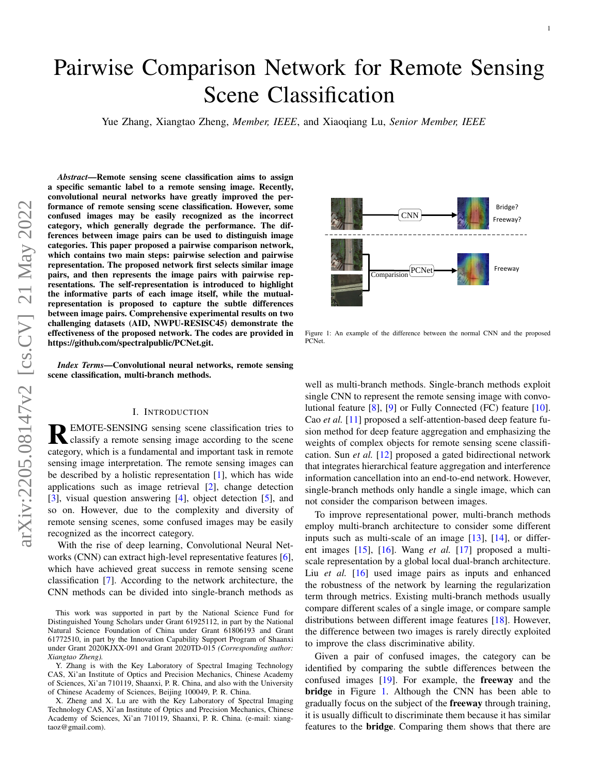# Pairwise Comparison Network for Remote Sensing Scene Classification

Yue Zhang, Xiangtao Zheng, *Member, IEEE*, and Xiaoqiang Lu, *Senior Member, IEEE*

*Abstract*—Remote sensing scene classification aims to assign a specific semantic label to a remote sensing image. Recently, convolutional neural networks have greatly improved the performance of remote sensing scene classification. However, some confused images may be easily recognized as the incorrect category, which generally degrade the performance. The differences between image pairs can be used to distinguish image categories. This paper proposed a pairwise comparison network, which contains two main steps: pairwise selection and pairwise representation. The proposed network first selects similar image pairs, and then represents the image pairs with pairwise representations. The self-representation is introduced to highlight the informative parts of each image itself, while the mutualrepresentation is proposed to capture the subtle differences between image pairs. Comprehensive experimental results on two challenging datasets (AID, NWPU-RESISC45) demonstrate the effectiveness of the proposed network. The codes are provided in https://github.com/spectralpublic/PCNet.git.

*Index Terms*—Convolutional neural networks, remote sensing scene classification, multi-branch methods.

#### I. INTRODUCTION

REMOTE-SENSING sensing scene classification tries to<br>classify a remote sensing image according to the scene classify a remote sensing image according to the scene category, which is a fundamental and important task in remote sensing image interpretation. The remote sensing images can be described by a holistic representation [\[1\]](#page-5-0), which has wide applications such as image retrieval [\[2\]](#page-5-1), change detection [\[3\]](#page-5-2), visual question answering [\[4\]](#page-5-3), object detection [\[5\]](#page-5-4), and so on. However, due to the complexity and diversity of remote sensing scenes, some confused images may be easily recognized as the incorrect category.

With the rise of deep learning, Convolutional Neural Networks (CNN) can extract high-level representative features [\[6\]](#page-5-5), which have achieved great success in remote sensing scene classification [\[7\]](#page-5-6). According to the network architecture, the CNN methods can be divided into single-branch methods as

X. Zheng and X. Lu are with the Key Laboratory of Spectral Imaging Technology CAS, Xi'an Institute of Optics and Precision Mechanics, Chinese Academy of Sciences, Xi'an 710119, Shaanxi, P. R. China. (e-mail: xiangtaoz@gmail.com).

<span id="page-0-0"></span>

Figure 1: An example of the difference between the normal CNN and the proposed PCNet.

well as multi-branch methods. Single-branch methods exploit single CNN to represent the remote sensing image with convolutional feature [\[8\]](#page-5-7), [\[9\]](#page-5-8) or Fully Connected (FC) feature [\[10\]](#page-5-9). Cao *et al.* [\[11\]](#page-5-10) proposed a self-attention-based deep feature fusion method for deep feature aggregation and emphasizing the weights of complex objects for remote sensing scene classification. Sun *et al.* [\[12\]](#page-5-11) proposed a gated bidirectional network that integrates hierarchical feature aggregation and interference information cancellation into an end-to-end network. However, single-branch methods only handle a single image, which can not consider the comparison between images.

To improve representational power, multi-branch methods employ multi-branch architecture to consider some different inputs such as multi-scale of an image [\[13\]](#page-5-12), [\[14\]](#page-5-13), or different images [\[15\]](#page-5-14), [\[16\]](#page-5-15). Wang *et al.* [\[17\]](#page-5-16) proposed a multiscale representation by a global local dual-branch architecture. Liu *et al.* [\[16\]](#page-5-15) used image pairs as inputs and enhanced the robustness of the network by learning the regularization term through metrics. Existing multi-branch methods usually compare different scales of a single image, or compare sample distributions between different image features [\[18\]](#page-5-17). However, the difference between two images is rarely directly exploited to improve the class discriminative ability.

Given a pair of confused images, the category can be identified by comparing the subtle differences between the confused images [\[19\]](#page-5-18). For example, the freeway and the **bridge** in Figure [1.](#page-0-0) Although the CNN has been able to gradually focus on the subject of the freeway through training, it is usually difficult to discriminate them because it has similar features to the bridge. Comparing them shows that there are

This work was supported in part by the National Science Fund for Distinguished Young Scholars under Grant 61925112, in part by the National Natural Science Foundation of China under Grant 61806193 and Grant 61772510, in part by the Innovation Capability Support Program of Shaanxi under Grant 2020KJXX-091 and Grant 2020TD-015 *(Corresponding author: Xiangtao Zheng).*

Y. Zhang is with the Key Laboratory of Spectral Imaging Technology CAS, Xi'an Institute of Optics and Precision Mechanics, Chinese Academy of Sciences, Xi'an 710119, Shaanxi, P. R. China, and also with the University of Chinese Academy of Sciences, Beijing 100049, P. R. China.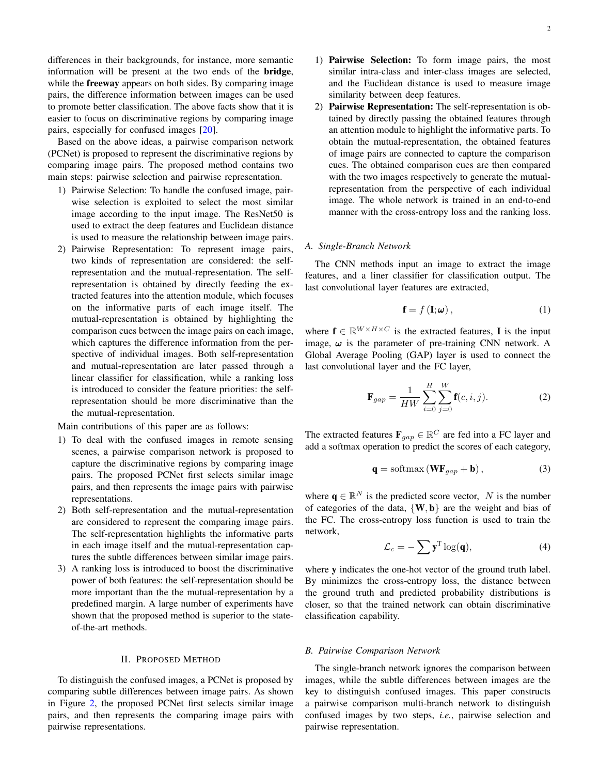differences in their backgrounds, for instance, more semantic information will be present at the two ends of the bridge, while the **freeway** appears on both sides. By comparing image pairs, the difference information between images can be used to promote better classification. The above facts show that it is easier to focus on discriminative regions by comparing image pairs, especially for confused images [\[20\]](#page-5-19).

Based on the above ideas, a pairwise comparison network (PCNet) is proposed to represent the discriminative regions by comparing image pairs. The proposed method contains two main steps: pairwise selection and pairwise representation.

- 1) Pairwise Selection: To handle the confused image, pairwise selection is exploited to select the most similar image according to the input image. The ResNet50 is used to extract the deep features and Euclidean distance is used to measure the relationship between image pairs.
- 2) Pairwise Representation: To represent image pairs, two kinds of representation are considered: the selfrepresentation and the mutual-representation. The selfrepresentation is obtained by directly feeding the extracted features into the attention module, which focuses on the informative parts of each image itself. The mutual-representation is obtained by highlighting the comparison cues between the image pairs on each image, which captures the difference information from the perspective of individual images. Both self-representation and mutual-representation are later passed through a linear classifier for classification, while a ranking loss is introduced to consider the feature priorities: the selfrepresentation should be more discriminative than the the mutual-representation.

Main contributions of this paper are as follows:

- 1) To deal with the confused images in remote sensing scenes, a pairwise comparison network is proposed to capture the discriminative regions by comparing image pairs. The proposed PCNet first selects similar image pairs, and then represents the image pairs with pairwise representations.
- 2) Both self-representation and the mutual-representation are considered to represent the comparing image pairs. The self-representation highlights the informative parts in each image itself and the mutual-representation captures the subtle differences between similar image pairs.
- 3) A ranking loss is introduced to boost the discriminative power of both features: the self-representation should be more important than the the mutual-representation by a predefined margin. A large number of experiments have shown that the proposed method is superior to the stateof-the-art methods.

#### II. PROPOSED METHOD

To distinguish the confused images, a PCNet is proposed by comparing subtle differences between image pairs. As shown in Figure [2,](#page-2-0) the proposed PCNet first selects similar image pairs, and then represents the comparing image pairs with pairwise representations.

- 1) Pairwise Selection: To form image pairs, the most similar intra-class and inter-class images are selected, and the Euclidean distance is used to measure image similarity between deep features.
- 2) Pairwise Representation: The self-representation is obtained by directly passing the obtained features through an attention module to highlight the informative parts. To obtain the mutual-representation, the obtained features of image pairs are connected to capture the comparison cues. The obtained comparison cues are then compared with the two images respectively to generate the mutualrepresentation from the perspective of each individual image. The whole network is trained in an end-to-end manner with the cross-entropy loss and the ranking loss.

## *A. Single-Branch Network*

The CNN methods input an image to extract the image features, and a liner classifier for classification output. The last convolutional layer features are extracted,

<span id="page-1-0"></span>
$$
\mathbf{f} = f\left(\mathbf{I}; \boldsymbol{\omega}\right),\tag{1}
$$

where  $f \in \mathbb{R}^{W \times H \times C}$  is the extracted features, I is the input image,  $\omega$  is the parameter of pre-training CNN network. A Global Average Pooling (GAP) layer is used to connect the last convolutional layer and the FC layer,

<span id="page-1-1"></span>
$$
\mathbf{F}_{gap} = \frac{1}{HW} \sum_{i=0}^{H} \sum_{j=0}^{W} \mathbf{f}(c, i, j).
$$
 (2)

The extracted features  $\mathbf{F}_{gap} \in \mathbb{R}^C$  are fed into a FC layer and add a softmax operation to predict the scores of each category,

<span id="page-1-2"></span>
$$
\mathbf{q} = \text{softmax}\left(\mathbf{W}\mathbf{F}_{gap} + \mathbf{b}\right),\tag{3}
$$

where  $\mathbf{q} \in \mathbb{R}^N$  is the predicted score vector, N is the number of categories of the data,  $\{W, b\}$  are the weight and bias of the FC. The cross-entropy loss function is used to train the network,

$$
\mathcal{L}_c = -\sum \mathbf{y}^{\mathrm{T}} \log(\mathbf{q}),\tag{4}
$$

where y indicates the one-hot vector of the ground truth label. By minimizes the cross-entropy loss, the distance between the ground truth and predicted probability distributions is closer, so that the trained network can obtain discriminative classification capability.

### *B. Pairwise Comparison Network*

The single-branch network ignores the comparison between images, while the subtle differences between images are the key to distinguish confused images. This paper constructs a pairwise comparison multi-branch network to distinguish confused images by two steps, *i.e.*, pairwise selection and pairwise representation.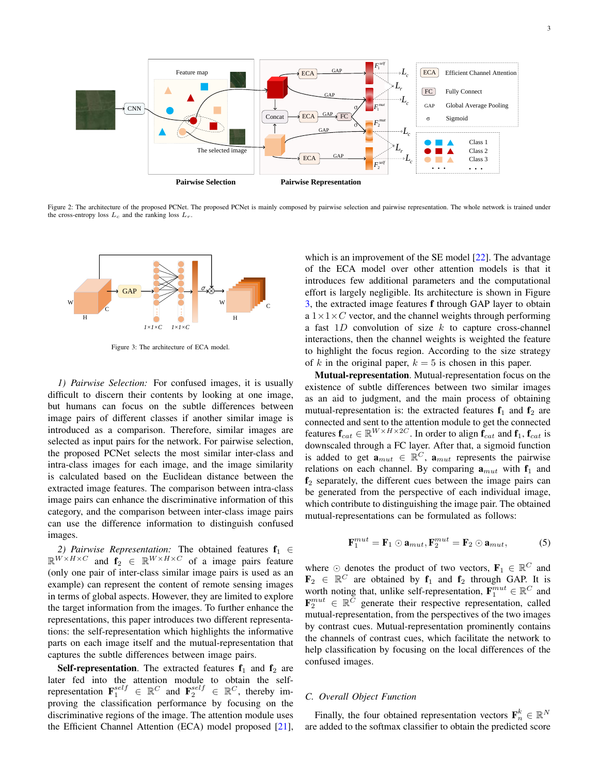<span id="page-2-0"></span>

Figure 2: The architecture of the proposed PCNet. The proposed PCNet is mainly composed by pairwise selection and pairwise representation. The whole network is trained under the cross-entropy loss  $L_c$  and the ranking loss  $L_r$ .

<span id="page-2-1"></span>

Figure 3: The architecture of ECA model.

*1) Pairwise Selection:* For confused images, it is usually difficult to discern their contents by looking at one image, but humans can focus on the subtle differences between image pairs of different classes if another similar image is introduced as a comparison. Therefore, similar images are selected as input pairs for the network. For pairwise selection, the proposed PCNet selects the most similar inter-class and intra-class images for each image, and the image similarity is calculated based on the Euclidean distance between the extracted image features. The comparison between intra-class image pairs can enhance the discriminative information of this category, and the comparison between inter-class image pairs can use the difference information to distinguish confused images.

2) Pairwise Representation: The obtained features  $f_1 \in$  $\mathbb{R}^{W \times H \times C}$  and  $f_2 \in \mathbb{R}^{W \times H \times C}$  of a image pairs feature (only one pair of inter-class similar image pairs is used as an example) can represent the content of remote sensing images in terms of global aspects. However, they are limited to explore the target information from the images. To further enhance the representations, this paper introduces two different representations: the self-representation which highlights the informative parts on each image itself and the mutual-representation that captures the subtle differences between image pairs.

**Self-representation.** The extracted features  $f_1$  and  $f_2$  are later fed into the attention module to obtain the selfrepresentation  $\mathbf{F}_1^{self} \in \mathbb{R}^C$  and  $\mathbf{F}_2^{self} \in \mathbb{R}^C$ , thereby improving the classification performance by focusing on the discriminative regions of the image. The attention module uses the Efficient Channel Attention (ECA) model proposed [\[21\]](#page-5-20),

which is an improvement of the SE model [\[22\]](#page-5-21). The advantage of the ECA model over other attention models is that it introduces few additional parameters and the computational effort is largely negligible. Its architecture is shown in Figure [3,](#page-2-1) the extracted image features f through GAP layer to obtain a  $1 \times 1 \times C$  vector, and the channel weights through performing a fast  $1D$  convolution of size k to capture cross-channel interactions, then the channel weights is weighted the feature to highlight the focus region. According to the size strategy of k in the original paper,  $k = 5$  is chosen in this paper.

Mutual-representation. Mutual-representation focus on the existence of subtle differences between two similar images as an aid to judgment, and the main process of obtaining mutual-representation is: the extracted features  $f_1$  and  $f_2$  are connected and sent to the attention module to get the connected features  $\mathbf{f}_{cat} \in \mathbb{R}^{W \times H \times 2C}$ . In order to align  $\mathbf{f}_{cat}$  and  $\mathbf{f}_1$ ,  $\mathbf{f}_{cat}$  is downscaled through a FC layer. After that, a sigmoid function is added to get  $\mathbf{a}_{mut} \in \mathbb{R}^C$ ,  $\mathbf{a}_{mut}$  represents the pairwise relations on each channel. By comparing  $a_{mut}$  with  $f_1$  and  $f<sub>2</sub>$  separately, the different cues between the image pairs can be generated from the perspective of each individual image, which contribute to distinguishing the image pair. The obtained mutual-representations can be formulated as follows:

$$
\mathbf{F}_1^{mut} = \mathbf{F}_1 \odot \mathbf{a}_{mut}, \mathbf{F}_2^{mut} = \mathbf{F}_2 \odot \mathbf{a}_{mut}, \tag{5}
$$

where  $\odot$  denotes the product of two vectors,  $\mathbf{F}_1 \in \mathbb{R}^C$  and  $\mathbf{F}_2 \in \mathbb{R}^C$  are obtained by  $\mathbf{f}_1$  and  $\mathbf{f}_2$  through GAP. It is worth noting that, unlike self-representation,  $\mathbf{F}_1^{mut} \in \mathbb{R}^C$  and  $\mathbf{F}_2^{mut} \in \mathbb{R}^{\bar{C}}$  generate their respective representation, called mutual-representation, from the perspectives of the two images by contrast cues. Mutual-representation prominently contains the channels of contrast cues, which facilitate the network to help classification by focusing on the local differences of the confused images.

## *C. Overall Object Function*

Finally, the four obtained representation vectors  $\mathbf{F}_n^k \in \mathbb{R}^N$ are added to the softmax classifier to obtain the predicted score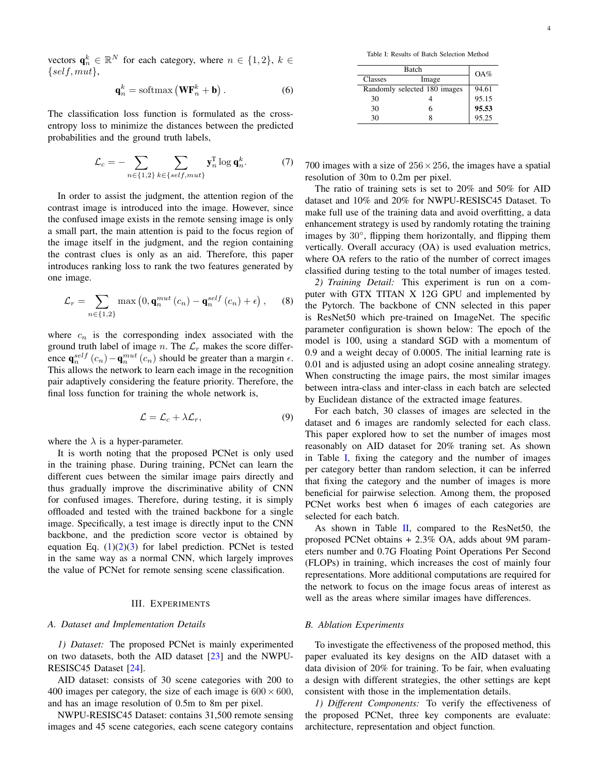vectors  $\mathbf{q}_n^k \in \mathbb{R}^N$  for each category, where  $n \in \{1,2\}, k \in$  $\{self, mut\},\$ 

$$
\mathbf{q}_n^k = \text{softmax}\left(\mathbf{W}\mathbf{F}_n^k + \mathbf{b}\right). \tag{6}
$$

The classification loss function is formulated as the crossentropy loss to minimize the distances between the predicted probabilities and the ground truth labels,

$$
\mathcal{L}_c = -\sum_{n \in \{1,2\}} \sum_{k \in \{self, mut\}} \mathbf{y}_n^{\mathrm{T}} \log \mathbf{q}_n^k. \tag{7}
$$

In order to assist the judgment, the attention region of the contrast image is introduced into the image. However, since the confused image exists in the remote sensing image is only a small part, the main attention is paid to the focus region of the image itself in the judgment, and the region containing the contrast clues is only as an aid. Therefore, this paper introduces ranking loss to rank the two features generated by one image.

$$
\mathcal{L}_r = \sum_{n \in \{1,2\}} \max\left(0, \mathbf{q}_n^{mut}\left(c_n\right) - \mathbf{q}_n^{self}\left(c_n\right) + \epsilon\right),\tag{8}
$$

where  $c_n$  is the corresponding index associated with the ground truth label of image n. The  $\mathcal{L}_r$  makes the score difference  $\mathbf{q}_n^{self}(c_n) - \mathbf{q}_n^{mut}(c_n)$  should be greater than a margin  $\epsilon$ . This allows the network to learn each image in the recognition pair adaptively considering the feature priority. Therefore, the final loss function for training the whole network is,

<span id="page-3-1"></span>
$$
\mathcal{L} = \mathcal{L}_c + \lambda \mathcal{L}_r, \tag{9}
$$

where the  $\lambda$  is a hyper-parameter.

It is worth noting that the proposed PCNet is only used in the training phase. During training, PCNet can learn the different cues between the similar image pairs directly and thus gradually improve the discriminative ability of CNN for confused images. Therefore, during testing, it is simply offloaded and tested with the trained backbone for a single image. Specifically, a test image is directly input to the CNN backbone, and the prediction score vector is obtained by equation Eq.  $(1)(2)(3)$  $(1)(2)(3)$  $(1)(2)(3)$  for label prediction. PCNet is tested in the same way as a normal CNN, which largely improves the value of PCNet for remote sensing scene classification.

#### III. EXPERIMENTS

## *A. Dataset and Implementation Details*

*1) Dataset:* The proposed PCNet is mainly experimented on two datasets, both the AID dataset [\[23\]](#page-5-22) and the NWPU-RESISC45 Dataset [\[24\]](#page-5-23).

AID dataset: consists of 30 scene categories with 200 to 400 images per category, the size of each image is  $600 \times 600$ , and has an image resolution of 0.5m to 8m per pixel.

NWPU-RESISC45 Dataset: contains 31,500 remote sensing images and 45 scene categories, each scene category contains

Table I: Results of Batch Selection Method

<span id="page-3-0"></span>

|         | OA%                          |       |
|---------|------------------------------|-------|
| Classes | Image                        |       |
|         | Randomly selected 180 images | 94.61 |
| 30      |                              | 95.15 |
| 30      |                              | 95.53 |
| 30      |                              | 95.25 |

700 images with a size of  $256 \times 256$ , the images have a spatial resolution of 30m to 0.2m per pixel.

The ratio of training sets is set to 20% and 50% for AID dataset and 10% and 20% for NWPU-RESISC45 Dataset. To make full use of the training data and avoid overfitting, a data enhancement strategy is used by randomly rotating the training images by 30°, flipping them horizontally, and flipping them vertically. Overall accuracy (OA) is used evaluation metrics, where OA refers to the ratio of the number of correct images classified during testing to the total number of images tested.

*2) Training Detail:* This experiment is run on a computer with GTX TITAN X 12G GPU and implemented by the Pytorch. The backbone of CNN selected in this paper is ResNet50 which pre-trained on ImageNet. The specific parameter configuration is shown below: The epoch of the model is 100, using a standard SGD with a momentum of 0.9 and a weight decay of 0.0005. The initial learning rate is 0.01 and is adjusted using an adopt cosine annealing strategy. When constructing the image pairs, the most similar images between intra-class and inter-class in each batch are selected by Euclidean distance of the extracted image features.

For each batch, 30 classes of images are selected in the dataset and 6 images are randomly selected for each class. This paper explored how to set the number of images most reasonably on AID dataset for 20% traning set. As shown in Table [I,](#page-3-0) fixing the category and the number of images per category better than random selection, it can be inferred that fixing the category and the number of images is more beneficial for pairwise selection. Among them, the proposed PCNet works best when 6 images of each categories are selected for each batch.

As shown in Table [II,](#page-4-0) compared to the ResNet50, the proposed PCNet obtains + 2.3% OA, adds about 9M parameters number and 0.7G Floating Point Operations Per Second (FLOPs) in training, which increases the cost of mainly four representations. More additional computations are required for the network to focus on the image focus areas of interest as well as the areas where similar images have differences.

#### *B. Ablation Experiments*

To investigate the effectiveness of the proposed method, this paper evaluated its key designs on the AID dataset with a data division of 20% for training. To be fair, when evaluating a design with different strategies, the other settings are kept consistent with those in the implementation details.

*1) Different Components:* To verify the effectiveness of the proposed PCNet, three key components are evaluate: architecture, representation and object function.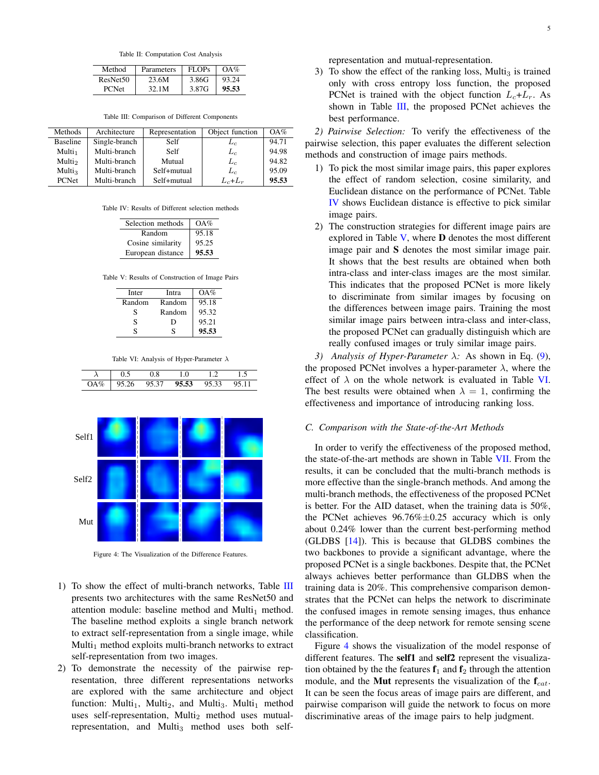Table II: Computation Cost Analysis

<span id="page-4-0"></span>

| Method               | Parameters | FLOPs | $OA\%$ |
|----------------------|------------|-------|--------|
| ResNet <sub>50</sub> | 23.6M      | 3.86G | 93.24  |
| <b>PCNet</b>         | 32.1M      | 3.87G | 95.53  |

Table III: Comparison of Different Components

<span id="page-4-1"></span>

| Methods            | Architecture  | Representation | Object function | $OA\%$ |
|--------------------|---------------|----------------|-----------------|--------|
| <b>Baseline</b>    | Single-branch | Self           | $L_c$           | 94.71  |
| Multi <sub>1</sub> | Multi-branch  | Self           | $L_c$           | 94.98  |
| Multi <sub>2</sub> | Multi-branch  | Mutual         | $L_c$           | 94.82  |
| Multi <sub>3</sub> | Multi-branch  | Self+mutual    | $L_c$           | 95.09  |
| <b>PCNet</b>       | Multi-branch  | Self+mutual    | $L_c+L_r$       | 95.53  |

<span id="page-4-2"></span>Table IV: Results of Different selection methods

| Selection methods | OA%   |
|-------------------|-------|
| Random            | 95.18 |
| Cosine similarity | 95.25 |
| European distance | 95.53 |

<span id="page-4-3"></span>Table V: Results of Construction of Image Pairs

| Inter  | Intra  | OA%   |
|--------|--------|-------|
| Random | Random | 95.18 |
| S      | Random | 95.32 |
| S      | D      | 95.21 |
| c      | ς      | 95.53 |

Table VI: Analysis of Hyper-Parameter λ

<span id="page-4-4"></span>

<span id="page-4-5"></span>

Figure 4: The Visualization of the Difference Features.

- 1) To show the effect of multi-branch networks, Table [III](#page-4-1) presents two architectures with the same ResNet50 and attention module: baseline method and Multi<sub>1</sub> method. The baseline method exploits a single branch network to extract self-representation from a single image, while Multi<sub>1</sub> method exploits multi-branch networks to extract self-representation from two images.
- 2) To demonstrate the necessity of the pairwise representation, three different representations networks are explored with the same architecture and object function: Multi<sub>1</sub>, Multi<sub>2</sub>, and Multi<sub>3</sub>. Multi<sub>1</sub> method uses self-representation, Multi $_2$  method uses mutualrepresentation, and Multi<sub>3</sub> method uses both self-

representation and mutual-representation.

3) To show the effect of the ranking loss, Multi<sub>3</sub> is trained only with cross entropy loss function, the proposed PCNet is trained with the object function  $L_c+L_r$ . As shown in Table [III,](#page-4-1) the proposed PCNet achieves the best performance.

*2) Pairwise Selection:* To verify the effectiveness of the pairwise selection, this paper evaluates the different selection methods and construction of image pairs methods.

- 1) To pick the most similar image pairs, this paper explores the effect of random selection, cosine similarity, and Euclidean distance on the performance of PCNet. Table [IV](#page-4-2) shows Euclidean distance is effective to pick similar image pairs.
- 2) The construction strategies for different image pairs are explored in Table  $V$ , where  $D$  denotes the most different image pair and S denotes the most similar image pair. It shows that the best results are obtained when both intra-class and inter-class images are the most similar. This indicates that the proposed PCNet is more likely to discriminate from similar images by focusing on the differences between image pairs. Training the most similar image pairs between intra-class and inter-class, the proposed PCNet can gradually distinguish which are really confused images or truly similar image pairs.

*3) Analysis of Hyper-Parameter* λ*:* As shown in Eq. [\(9\)](#page-3-1), the proposed PCNet involves a hyper-parameter  $\lambda$ , where the effect of  $\lambda$  on the whole network is evaluated in Table [VI.](#page-4-4) The best results were obtained when  $\lambda = 1$ , confirming the effectiveness and importance of introducing ranking loss.

#### *C. Comparison with the State-of-the-Art Methods*

In order to verify the effectiveness of the proposed method, the state-of-the-art methods are shown in Table [VII.](#page-5-24) From the results, it can be concluded that the multi-branch methods is more effective than the single-branch methods. And among the multi-branch methods, the effectiveness of the proposed PCNet is better. For the AID dataset, when the training data is 50%, the PCNet achieves  $96.76\% \pm 0.25$  accuracy which is only about 0.24% lower than the current best-performing method (GLDBS [\[14\]](#page-5-13)). This is because that GLDBS combines the two backbones to provide a significant advantage, where the proposed PCNet is a single backbones. Despite that, the PCNet always achieves better performance than GLDBS when the training data is 20%. This comprehensive comparison demonstrates that the PCNet can helps the network to discriminate the confused images in remote sensing images, thus enhance the performance of the deep network for remote sensing scene classification.

Figure [4](#page-4-5) shows the visualization of the model response of different features. The self1 and self2 represent the visualization obtained by the the features  $f_1$  and  $f_2$  through the attention module, and the **Mut** represents the visualization of the  $f_{cat}$ . It can be seen the focus areas of image pairs are different, and pairwise comparison will guide the network to focus on more discriminative areas of the image pairs to help judgment.